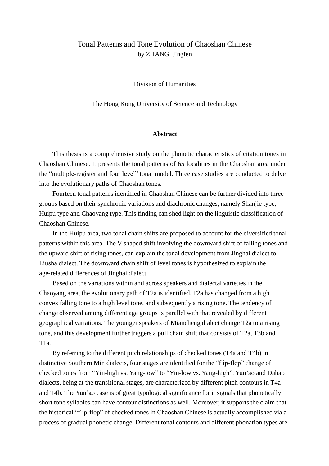## Tonal Patterns and Tone Evolution of Chaoshan Chinese by ZHANG, Jingfen

Division of Humanities

The Hong Kong University of Science and Technology

## **Abstract**

This thesis is a comprehensive study on the phonetic characteristics of citation tones in Chaoshan Chinese. It presents the tonal patterns of 65 localities in the Chaoshan area under the "multiple-register and four level" tonal model. Three case studies are conducted to delve into the evolutionary paths of Chaoshan tones.

Fourteen tonal patterns identified in Chaoshan Chinese can be further divided into three groups based on their synchronic variations and diachronic changes, namely Shanjie type, Huipu type and Chaoyang type. This finding can shed light on the linguistic classification of Chaoshan Chinese.

In the Huipu area, two tonal chain shifts are proposed to account for the diversified tonal patterns within this area. The V-shaped shift involving the downward shift of falling tones and the upward shift of rising tones, can explain the tonal development from Jinghai dialect to Liusha dialect. The downward chain shift of level tones is hypothesized to explain the age-related differences of Jinghai dialect.

Based on the variations within and across speakers and dialectal varieties in the Chaoyang area, the evolutionary path of T2a is identified. T2a has changed from a high convex falling tone to a high level tone, and subsequently a rising tone. The tendency of change observed among different age groups is parallel with that revealed by different geographical variations. The younger speakers of Miancheng dialect change T2a to a rising tone, and this development further triggers a pull chain shift that consists of T2a, T3b and T1a.

By referring to the different pitch relationships of checked tones (T4a and T4b) in distinctive Southern Min dialects, four stages are identified for the "flip-flop" change of checked tones from "Yin-high vs. Yang-low" to "Yin-low vs. Yang-high". Yun'ao and Dahao dialects, being at the transitional stages, are characterized by different pitch contours in T4a and T4b. The Yun'ao case is of great typological significance for it signals that phonetically short tone syllables can have contour distinctions as well. Moreover, it supports the claim that the historical "flip-flop" of checked tones in Chaoshan Chinese is actually accomplished via a process of gradual phonetic change. Different tonal contours and different phonation types are